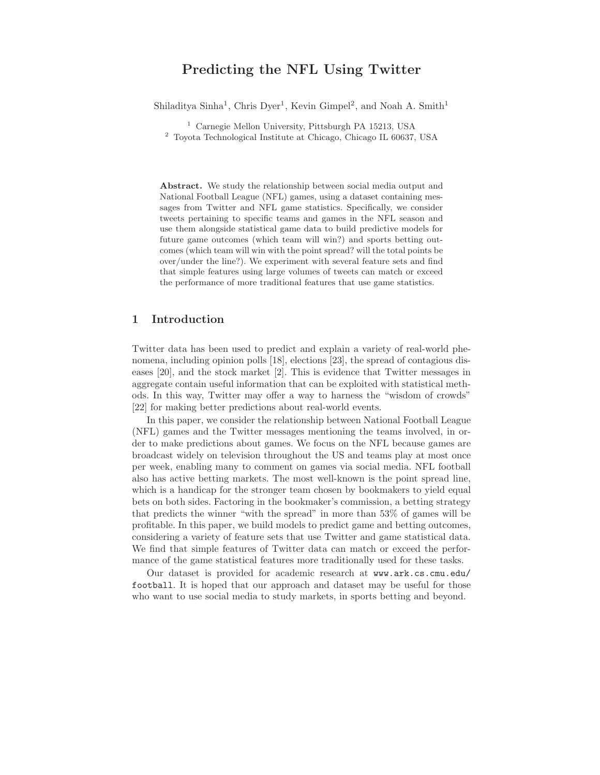# Predicting the NFL Using Twitter

Shiladitya Sinha<sup>1</sup>, Chris Dyer<sup>1</sup>, Kevin Gimpel<sup>2</sup>, and Noah A. Smith<sup>1</sup>

<sup>1</sup> Carnegie Mellon University, Pittsburgh PA 15213, USA

<sup>2</sup> Toyota Technological Institute at Chicago, Chicago IL 60637, USA

Abstract. We study the relationship between social media output and National Football League (NFL) games, using a dataset containing messages from Twitter and NFL game statistics. Specifically, we consider tweets pertaining to specific teams and games in the NFL season and use them alongside statistical game data to build predictive models for future game outcomes (which team will win?) and sports betting outcomes (which team will win with the point spread? will the total points be over/under the line?). We experiment with several feature sets and find that simple features using large volumes of tweets can match or exceed the performance of more traditional features that use game statistics.

# 1 Introduction

Twitter data has been used to predict and explain a variety of real-world phenomena, including opinion polls [18], elections [23], the spread of contagious diseases [20], and the stock market [2]. This is evidence that Twitter messages in aggregate contain useful information that can be exploited with statistical methods. In this way, Twitter may offer a way to harness the "wisdom of crowds" [22] for making better predictions about real-world events.

In this paper, we consider the relationship between National Football League (NFL) games and the Twitter messages mentioning the teams involved, in order to make predictions about games. We focus on the NFL because games are broadcast widely on television throughout the US and teams play at most once per week, enabling many to comment on games via social media. NFL football also has active betting markets. The most well-known is the point spread line, which is a handicap for the stronger team chosen by bookmakers to yield equal bets on both sides. Factoring in the bookmaker's commission, a betting strategy that predicts the winner "with the spread" in more than 53% of games will be profitable. In this paper, we build models to predict game and betting outcomes, considering a variety of feature sets that use Twitter and game statistical data. We find that simple features of Twitter data can match or exceed the performance of the game statistical features more traditionally used for these tasks.

Our dataset is provided for academic research at www.ark.cs.cmu.edu/ football. It is hoped that our approach and dataset may be useful for those who want to use social media to study markets, in sports betting and beyond.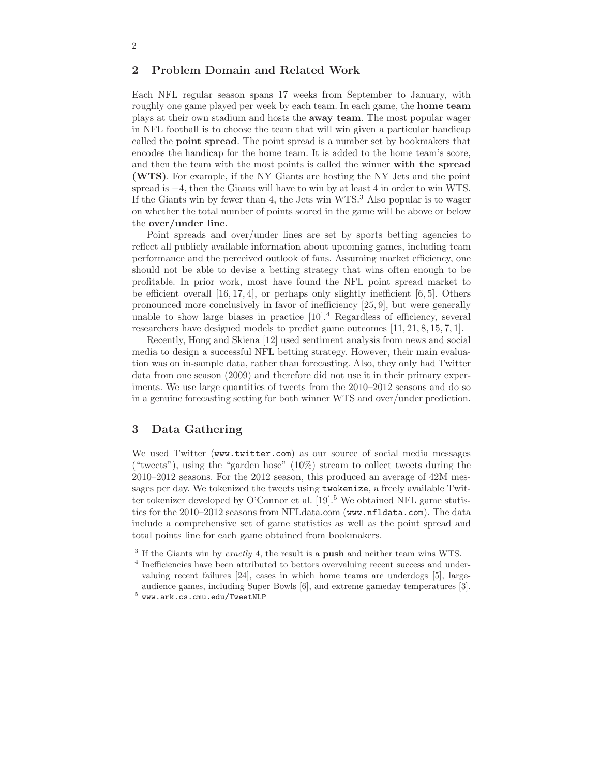# 2 Problem Domain and Related Work

Each NFL regular season spans 17 weeks from September to January, with roughly one game played per week by each team. In each game, the home team plays at their own stadium and hosts the away team. The most popular wager in NFL football is to choose the team that will win given a particular handicap called the point spread. The point spread is a number set by bookmakers that encodes the handicap for the home team. It is added to the home team's score, and then the team with the most points is called the winner with the spread (WTS). For example, if the NY Giants are hosting the NY Jets and the point spread is  $-4$ , then the Giants will have to win by at least 4 in order to win WTS. If the Giants win by fewer than 4, the Jets win  $WTS<sup>3</sup>$ . Also popular is to wager on whether the total number of points scored in the game will be above or below the over/under line.

Point spreads and over/under lines are set by sports betting agencies to reflect all publicly available information about upcoming games, including team performance and the perceived outlook of fans. Assuming market efficiency, one should not be able to devise a betting strategy that wins often enough to be profitable. In prior work, most have found the NFL point spread market to be efficient overall  $[16, 17, 4]$ , or perhaps only slightly inefficient  $[6, 5]$ . Others pronounced more conclusively in favor of inefficiency [25, 9], but were generally unable to show large biases in practice  $[10]$ .<sup>4</sup> Regardless of efficiency, several researchers have designed models to predict game outcomes [11, 21, 8, 15, 7, 1].

Recently, Hong and Skiena [12] used sentiment analysis from news and social media to design a successful NFL betting strategy. However, their main evaluation was on in-sample data, rather than forecasting. Also, they only had Twitter data from one season (2009) and therefore did not use it in their primary experiments. We use large quantities of tweets from the 2010–2012 seasons and do so in a genuine forecasting setting for both winner WTS and over/under prediction.

# 3 Data Gathering

We used Twitter (www.twitter.com) as our source of social media messages ("tweets"), using the "garden hose" (10%) stream to collect tweets during the 2010–2012 seasons. For the 2012 season, this produced an average of 42M messages per day. We tokenized the tweets using twokenize, a freely available Twitter tokenizer developed by O'Connor et al.  $[19]$ <sup>5</sup> We obtained NFL game statistics for the 2010–2012 seasons from NFLdata.com (www.nfldata.com). The data include a comprehensive set of game statistics as well as the point spread and total points line for each game obtained from bookmakers.

 $3$  If the Giants win by *exactly* 4, the result is a **push** and neither team wins WTS.

<sup>&</sup>lt;sup>4</sup> Inefficiencies have been attributed to bettors overvaluing recent success and undervaluing recent failures [24], cases in which home teams are underdogs [5], largeaudience games, including Super Bowls [6], and extreme gameday temperatures [3].

 $^5$  www.ark.cs.cmu.edu/TweetNLP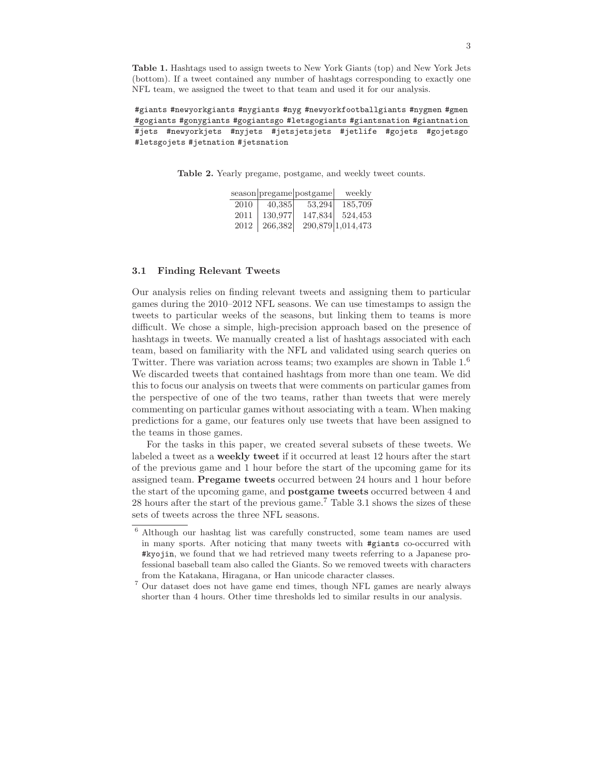Table 1. Hashtags used to assign tweets to New York Giants (top) and New York Jets (bottom). If a tweet contained any number of hashtags corresponding to exactly one NFL team, we assigned the tweet to that team and used it for our analysis.

#giants #newyorkgiants #nygiants #nyg #newyorkfootballgiants #nygmen #gmen #gogiants #gonygiants #gogiantsgo #letsgogiants #giantsnation #giantnation #jets #newyorkjets #nyjets #jetsjetsjets #jetlife #gojets #gojetsgo #letsgojets #jetnation #jetsnation

Table 2. Yearly pregame, postgame, and weekly tweet counts.

|      |         | season pregame postgame | weekly            |
|------|---------|-------------------------|-------------------|
| 2010 | 40,385  | 53.294                  | 185,709           |
| 2011 | 130,977 | 147,834                 | 524,453           |
| 2012 | 266,382 |                         | 290,879 1,014,473 |

### 3.1 Finding Relevant Tweets

Our analysis relies on finding relevant tweets and assigning them to particular games during the 2010–2012 NFL seasons. We can use timestamps to assign the tweets to particular weeks of the seasons, but linking them to teams is more difficult. We chose a simple, high-precision approach based on the presence of hashtags in tweets. We manually created a list of hashtags associated with each team, based on familiarity with the NFL and validated using search queries on Twitter. There was variation across teams; two examples are shown in Table 1.<sup>6</sup> We discarded tweets that contained hashtags from more than one team. We did this to focus our analysis on tweets that were comments on particular games from the perspective of one of the two teams, rather than tweets that were merely commenting on particular games without associating with a team. When making predictions for a game, our features only use tweets that have been assigned to the teams in those games.

For the tasks in this paper, we created several subsets of these tweets. We labeled a tweet as a weekly tweet if it occurred at least 12 hours after the start of the previous game and 1 hour before the start of the upcoming game for its assigned team. Pregame tweets occurred between 24 hours and 1 hour before the start of the upcoming game, and postgame tweets occurred between 4 and 28 hours after the start of the previous game.<sup>7</sup> Table 3.1 shows the sizes of these sets of tweets across the three NFL seasons.

 $^6$  Although our hashtag list was carefully constructed, some team names are used in many sports. After noticing that many tweets with #giants co-occurred with #kyojin, we found that we had retrieved many tweets referring to a Japanese professional baseball team also called the Giants. So we removed tweets with characters from the Katakana, Hiragana, or Han unicode character classes.

<sup>7</sup> Our dataset does not have game end times, though NFL games are nearly always shorter than 4 hours. Other time thresholds led to similar results in our analysis.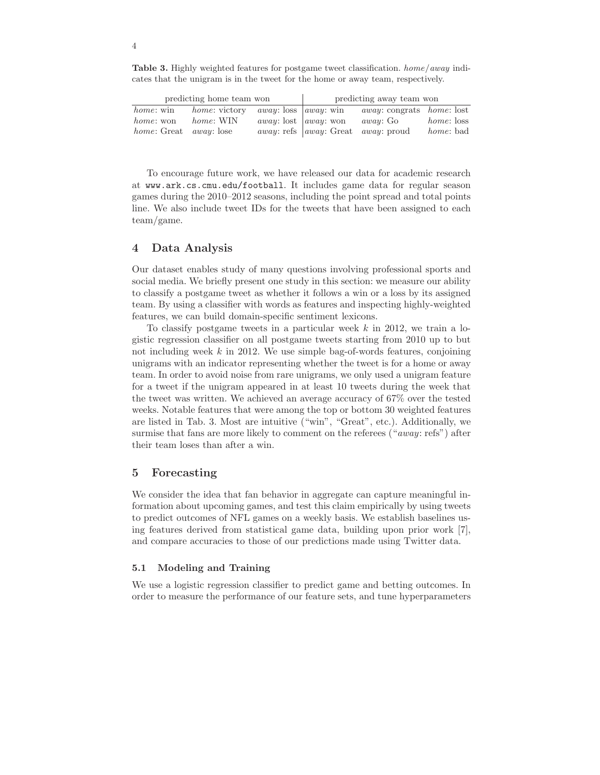Table 3. Highly weighted features for postgame tweet classification. home/away indicates that the unigram is in the tweet for the home or away team, respectively.

| predicting home team won             |                      |                                      | predicting away team won                                     |                                           |                   |
|--------------------------------------|----------------------|--------------------------------------|--------------------------------------------------------------|-------------------------------------------|-------------------|
| <i>home</i> : win                    | <i>home:</i> victory | <i>away</i> : loss <i>away</i> : win |                                                              | <i>away</i> : congrats <i>home</i> : lost |                   |
| <i>home</i> : won                    | home: WIN            | <i>away</i> : lost <i>away</i> : won |                                                              | <i>away</i> : Go                          | <i>home:</i> loss |
| <i>home:</i> Great <i>away:</i> lose |                      |                                      | <i>away</i> : refs   <i>away</i> : Great <i>away</i> : proud |                                           | <i>home</i> : bad |

To encourage future work, we have released our data for academic research at www.ark.cs.cmu.edu/football. It includes game data for regular season games during the 2010–2012 seasons, including the point spread and total points line. We also include tweet IDs for the tweets that have been assigned to each team/game.

# 4 Data Analysis

Our dataset enables study of many questions involving professional sports and social media. We briefly present one study in this section: we measure our ability to classify a postgame tweet as whether it follows a win or a loss by its assigned team. By using a classifier with words as features and inspecting highly-weighted features, we can build domain-specific sentiment lexicons.

To classify postgame tweets in a particular week  $k$  in 2012, we train a logistic regression classifier on all postgame tweets starting from 2010 up to but not including week  $k$  in 2012. We use simple bag-of-words features, conjoining unigrams with an indicator representing whether the tweet is for a home or away team. In order to avoid noise from rare unigrams, we only used a unigram feature for a tweet if the unigram appeared in at least 10 tweets during the week that the tweet was written. We achieved an average accuracy of 67% over the tested weeks. Notable features that were among the top or bottom 30 weighted features are listed in Tab. 3. Most are intuitive ("win", "Great", etc.). Additionally, we surmise that fans are more likely to comment on the referees ("away: refs") after their team loses than after a win.

### 5 Forecasting

We consider the idea that fan behavior in aggregate can capture meaningful information about upcoming games, and test this claim empirically by using tweets to predict outcomes of NFL games on a weekly basis. We establish baselines using features derived from statistical game data, building upon prior work [7], and compare accuracies to those of our predictions made using Twitter data.

### 5.1 Modeling and Training

We use a logistic regression classifier to predict game and betting outcomes. In order to measure the performance of our feature sets, and tune hyperparameters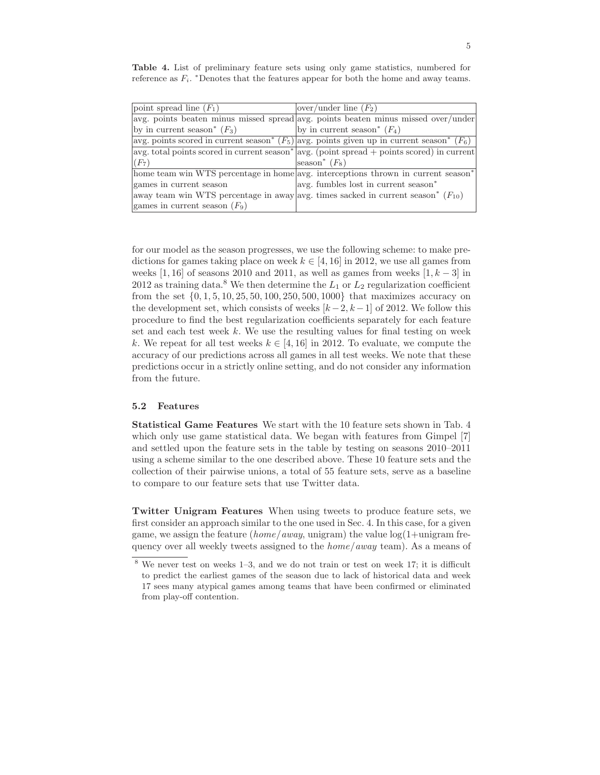Table 4. List of preliminary feature sets using only game statistics, numbered for reference as  $F_i$ . \*Denotes that the features appear for both the home and away teams.

| point spread line $(F_1)$                 | over/under line $(F_2)$                                                                                               |
|-------------------------------------------|-----------------------------------------------------------------------------------------------------------------------|
|                                           | avg. points beaten minus missed spread avg. points beaten minus missed over/under                                     |
| by in current season <sup>*</sup> $(F_3)$ | by in current season <sup>*</sup> $(F_4)$                                                                             |
|                                           | avg. points scored in current season <sup>*</sup> $(F_5)$ avg. points given up in current season <sup>*</sup> $(F_6)$ |
|                                           | $\alpha$ avg. total points scored in current season* $\alpha$ (point spread + points scored) in current               |
| $(F_7)$                                   | season <sup>*</sup> $(F_8)$                                                                                           |
|                                           | home team win WTS percentage in home avg. interceptions thrown in current season <sup>*</sup>                         |
| games in current season                   | avg. fumbles lost in current season <sup>*</sup>                                                                      |
|                                           | away team win WTS percentage in away avg. times sacked in current season* $(F_{10})$                                  |
| games in current season $(F_9)$           |                                                                                                                       |

for our model as the season progresses, we use the following scheme: to make predictions for games taking place on week  $k \in [4, 16]$  in 2012, we use all games from weeks [1, 16] of seasons 2010 and 2011, as well as games from weeks  $[1, k-3]$  in 2012 as training data.<sup>8</sup> We then determine the  $L_1$  or  $L_2$  regularization coefficient from the set  $\{0, 1, 5, 10, 25, 50, 100, 250, 500, 1000\}$  that maximizes accuracy on the development set, which consists of weeks  $[k-2, k-1]$  of 2012. We follow this procedure to find the best regularization coefficients separately for each feature set and each test week  $k$ . We use the resulting values for final testing on week k. We repeat for all test weeks  $k \in [4, 16]$  in 2012. To evaluate, we compute the accuracy of our predictions across all games in all test weeks. We note that these predictions occur in a strictly online setting, and do not consider any information from the future.

### 5.2 Features

Statistical Game Features We start with the 10 feature sets shown in Tab. 4 which only use game statistical data. We began with features from Gimpel [7] and settled upon the feature sets in the table by testing on seasons 2010–2011 using a scheme similar to the one described above. These 10 feature sets and the collection of their pairwise unions, a total of 55 feature sets, serve as a baseline to compare to our feature sets that use Twitter data.

Twitter Unigram Features When using tweets to produce feature sets, we first consider an approach similar to the one used in Sec. 4. In this case, for a given game, we assign the feature (home/away, unigram) the value  $log(1+unigram)$  frequency over all weekly tweets assigned to the  $home/away$  team). As a means of

<sup>8</sup> We never test on weeks 1–3, and we do not train or test on week 17; it is difficult to predict the earliest games of the season due to lack of historical data and week 17 sees many atypical games among teams that have been confirmed or eliminated from play-off contention.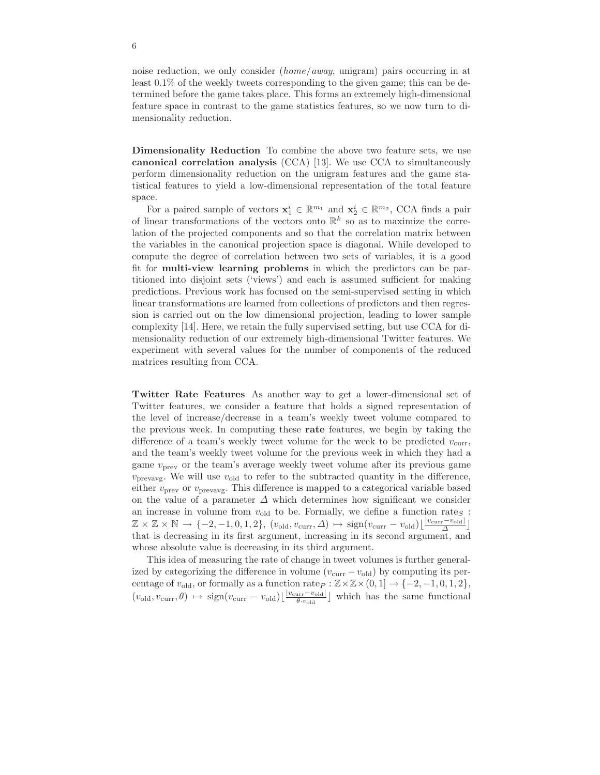noise reduction, we only consider (home/away, unigram) pairs occurring in at least 0.1% of the weekly tweets corresponding to the given game; this can be determined before the game takes place. This forms an extremely high-dimensional feature space in contrast to the game statistics features, so we now turn to dimensionality reduction.

Dimensionality Reduction To combine the above two feature sets, we use canonical correlation analysis (CCA) [13]. We use CCA to simultaneously perform dimensionality reduction on the unigram features and the game statistical features to yield a low-dimensional representation of the total feature space.

For a paired sample of vectors  $\mathbf{x}_1^i \in \mathbb{R}^{m_1}$  and  $\mathbf{x}_2^i \in \mathbb{R}^{m_2}$ , CCA finds a pair of linear transformations of the vectors onto  $\mathbb{R}^k$  so as to maximize the correlation of the projected components and so that the correlation matrix between the variables in the canonical projection space is diagonal. While developed to compute the degree of correlation between two sets of variables, it is a good fit for multi-view learning problems in which the predictors can be partitioned into disjoint sets ('views') and each is assumed sufficient for making predictions. Previous work has focused on the semi-supervised setting in which linear transformations are learned from collections of predictors and then regression is carried out on the low dimensional projection, leading to lower sample complexity [14]. Here, we retain the fully supervised setting, but use CCA for dimensionality reduction of our extremely high-dimensional Twitter features. We experiment with several values for the number of components of the reduced matrices resulting from CCA.

Twitter Rate Features As another way to get a lower-dimensional set of Twitter features, we consider a feature that holds a signed representation of the level of increase/decrease in a team's weekly tweet volume compared to the previous week. In computing these rate features, we begin by taking the difference of a team's weekly tweet volume for the week to be predicted  $v_{\text{curr}}$ , and the team's weekly tweet volume for the previous week in which they had a game  $v_{\text{prev}}$  or the team's average weekly tweet volume after its previous game  $v_{\text{prevavg}}$ . We will use  $v_{\text{old}}$  to refer to the subtracted quantity in the difference, either  $v_{\text{prev}}$  or  $v_{\text{prevavg}}$ . This difference is mapped to a categorical variable based on the value of a parameter  $\Delta$  which determines how significant we consider an increase in volume from  $v_{old}$  to be. Formally, we define a function rate $s$ :  $\mathbb{Z} \times \mathbb{Z} \times \mathbb{N} \to \{-2, -1, 0, 1, 2\}, (v_{old}, v_{curr}, \Delta) \mapsto \text{sign}(v_{curr} - v_{old}) \lfloor \frac{|v_{curr} - v_{old}|}{\Delta} \rfloor$ that is decreasing in its first argument, increasing in its second argument, and whose absolute value is decreasing in its third argument.

This idea of measuring the rate of change in tweet volumes is further generalized by categorizing the difference in volume  $(v_{\text{curr}} - v_{\text{old}})$  by computing its percentage of  $v_{old}$ , or formally as a function rate  $P : \mathbb{Z} \times \mathbb{Z} \times (0, 1] \rightarrow \{-2, -1, 0, 1, 2\},\$  $(v_{\text{old}}, v_{\text{curr}}, \theta) \mapsto \text{sign}(v_{\text{curr}} - v_{\text{old}}) \lfloor \frac{|v_{\text{curr}} - v_{\text{old}}|}{\theta, v_{\text{old}}} \rfloor$  $\frac{\mu_{\text{irr}} - \nu_{\text{old}}}{\theta \cdot v_{\text{old}}}$  which has the same functional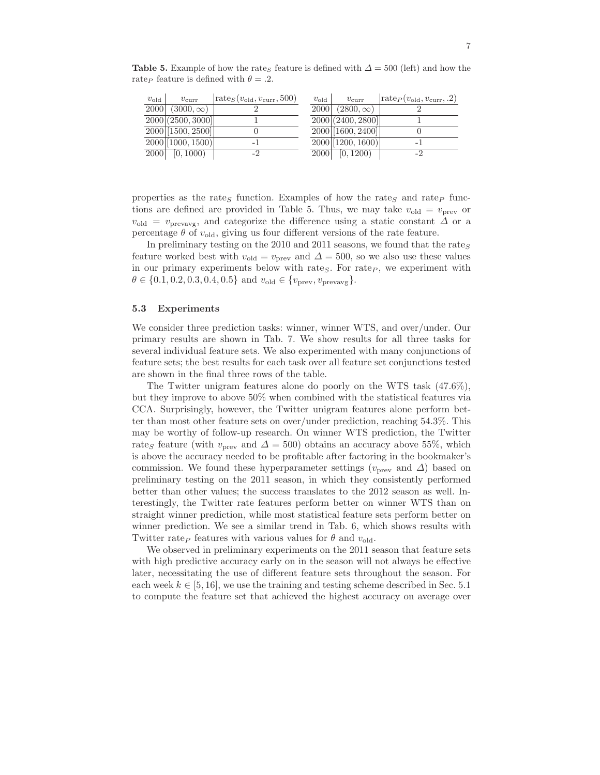Table 5. Example of how the rate<sub>S</sub> feature is defined with  $\Delta = 500$  (left) and how the rate<sub>P</sub> feature is defined with  $\theta = .2$ .

| $v_{old}$ | $v_{\rm curr}$                | $\left \text{rate}_{S}(v_{\text{old}}, v_{\text{curr}}, 500)\right $ | $v_{old}$ | $v_{\text{curr}}$           | $\vert \text{rate}_P(v_{\text{old}}, v_{\text{curr}}, .2) \vert$ |
|-----------|-------------------------------|----------------------------------------------------------------------|-----------|-----------------------------|------------------------------------------------------------------|
| 2000      | $(3000,\infty)$               |                                                                      | 2000      | $(2800,\infty)$             |                                                                  |
|           | $\boxed{2000}$ (2500, 3000)   |                                                                      |           | 2000[(2400, 2800)]          |                                                                  |
|           | $\boxed{2000}$ [1500, 2500]   |                                                                      |           | $\boxed{2000}$ [1600, 2400] |                                                                  |
|           | $\boxed{2000}$ $(1000, 1500)$ | - 1                                                                  |           | $2000$ [1200, 1600)         | - 1                                                              |
| 2000      | [0, 1000)                     | -9                                                                   | 2000      | [0, 1200)                   |                                                                  |

properties as the rate<sub>S</sub> function. Examples of how the rate<sub>S</sub> and rate<sub>P</sub> functions are defined are provided in Table 5. Thus, we may take  $v_{old} = v_{prev}$  or  $v_{\text{old}} = v_{\text{prevavg}}$ , and categorize the difference using a static constant  $\Delta$  or a percentage  $\theta$  of  $v_{old}$ , giving us four different versions of the rate feature.

In preliminary testing on the 2010 and 2011 seasons, we found that the rates feature worked best with  $v_{old} = v_{prev}$  and  $\Delta = 500$ , so we also use these values in our primary experiments below with rates. For rate $_P$ , we experiment with  $\theta \in \{0.1, 0.2, 0.3, 0.4, 0.5\}$  and  $v_{old} \in \{v_{prev}, v_{prevavg}\}.$ 

#### 5.3 Experiments

We consider three prediction tasks: winner, winner WTS, and over/under. Our primary results are shown in Tab. 7. We show results for all three tasks for several individual feature sets. We also experimented with many conjunctions of feature sets; the best results for each task over all feature set conjunctions tested are shown in the final three rows of the table.

The Twitter unigram features alone do poorly on the WTS task (47.6%), but they improve to above 50% when combined with the statistical features via CCA. Surprisingly, however, the Twitter unigram features alone perform better than most other feature sets on over/under prediction, reaching 54.3%. This may be worthy of follow-up research. On winner WTS prediction, the Twitter rates feature (with  $v_{\text{prev}}$  and  $\Delta = 500$ ) obtains an accuracy above 55%, which is above the accuracy needed to be profitable after factoring in the bookmaker's commission. We found these hyperparameter settings ( $v_{\text{prev}}$  and  $\Delta$ ) based on preliminary testing on the 2011 season, in which they consistently performed better than other values; the success translates to the 2012 season as well. Interestingly, the Twitter rate features perform better on winner WTS than on straight winner prediction, while most statistical feature sets perform better on winner prediction. We see a similar trend in Tab. 6, which shows results with Twitter rate<sub>P</sub> features with various values for  $\theta$  and  $v_{old}$ .

We observed in preliminary experiments on the 2011 season that feature sets with high predictive accuracy early on in the season will not always be effective later, necessitating the use of different feature sets throughout the season. For each week  $k \in [5, 16]$ , we use the training and testing scheme described in Sec. 5.1 to compute the feature set that achieved the highest accuracy on average over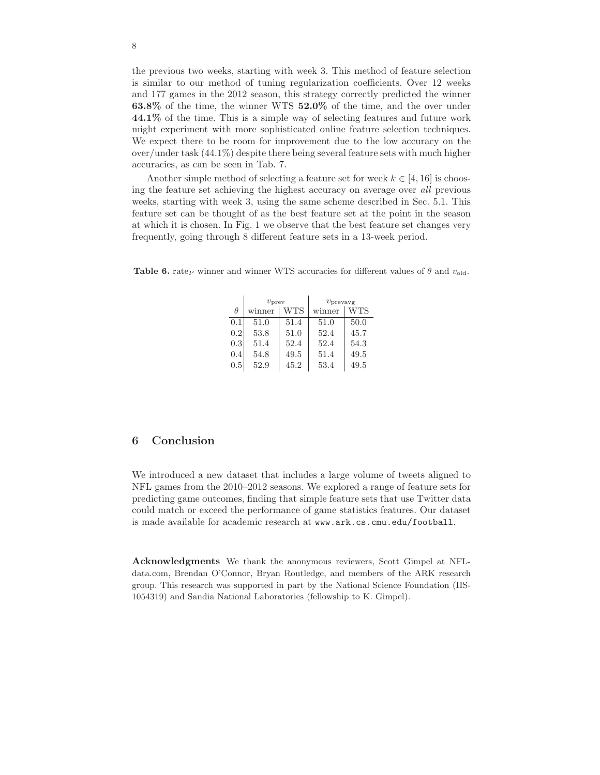the previous two weeks, starting with week 3. This method of feature selection is similar to our method of tuning regularization coefficients. Over 12 weeks and 177 games in the 2012 season, this strategy correctly predicted the winner 63.8% of the time, the winner WTS 52.0% of the time, and the over under 44.1% of the time. This is a simple way of selecting features and future work might experiment with more sophisticated online feature selection techniques. We expect there to be room for improvement due to the low accuracy on the over/under task (44.1%) despite there being several feature sets with much higher accuracies, as can be seen in Tab. 7.

Another simple method of selecting a feature set for week  $k \in [4, 16]$  is choosing the feature set achieving the highest accuracy on average over all previous weeks, starting with week 3, using the same scheme described in Sec. 5.1. This feature set can be thought of as the best feature set at the point in the season at which it is chosen. In Fig. 1 we observe that the best feature set changes very frequently, going through 8 different feature sets in a 13-week period.

|          | $v_{\rm prev}$ |      | $v_{\text{prevavg}}$ |      |  |
|----------|----------------|------|----------------------|------|--|
| $\theta$ | winner         | WTS  | winner               | WTS  |  |
| 0.1      | 51.0           | 51.4 | 51.0                 | 50.0 |  |
| 0.2      | 53.8           | 51.0 | 52.4                 | 45.7 |  |
| 0.3      | 51.4           | 52.4 | 52.4                 | 54.3 |  |
| 0.4      | 54.8           | 49.5 | 51.4                 | 49.5 |  |
| $0.5\,$  | 52.9           | 45.2 | 53.4                 | 49.5 |  |

**Table 6.** rate<sub>P</sub> winner and winner WTS accuracies for different values of  $\theta$  and  $v_{old}$ .

# 6 Conclusion

We introduced a new dataset that includes a large volume of tweets aligned to NFL games from the 2010–2012 seasons. We explored a range of feature sets for predicting game outcomes, finding that simple feature sets that use Twitter data could match or exceed the performance of game statistics features. Our dataset is made available for academic research at www.ark.cs.cmu.edu/football.

Acknowledgments We thank the anonymous reviewers, Scott Gimpel at NFLdata.com, Brendan O'Connor, Bryan Routledge, and members of the ARK research group. This research was supported in part by the National Science Foundation (IIS-1054319) and Sandia National Laboratories (fellowship to K. Gimpel).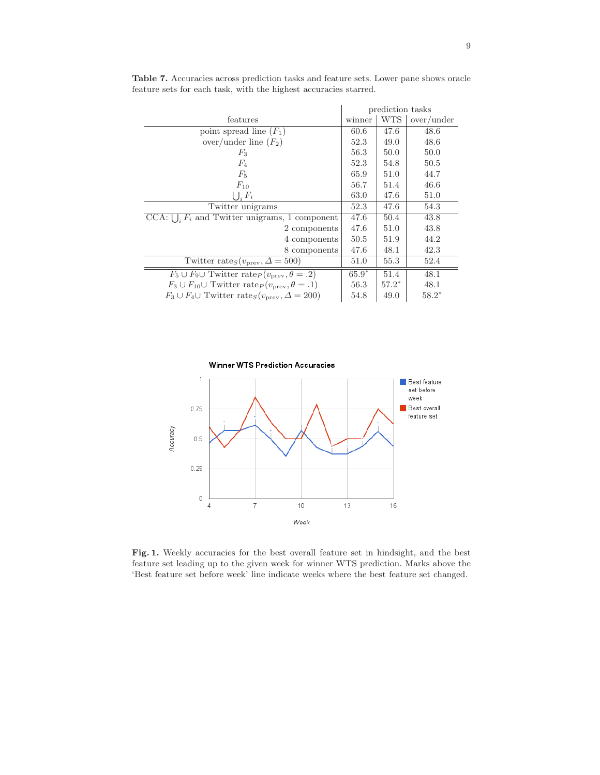|                                                                                     | prediction tasks |            |               |
|-------------------------------------------------------------------------------------|------------------|------------|---------------|
| features                                                                            | winner           | <b>WTS</b> | $over/$ under |
| point spread line $(F_1)$                                                           | 60.6             | 47.6       | 48.6          |
| over/under line $(F_2)$                                                             | 52.3             | 49.0       | 48.6          |
| $F_3$                                                                               | 56.3             | 50.0       | 50.0          |
| $F_4$                                                                               | 52.3             | 54.8       | 50.5          |
| $F_5$                                                                               | 65.9             | 51.0       | 44.7          |
| $F_{10}$                                                                            | 56.7             | 51.4       | 46.6          |
| $\bigcup_i F_i$                                                                     | 63.0             | 47.6       | 51.0          |
| Twitter unigrams                                                                    | 52.3             | 47.6       | 54.3          |
| CCA: $\bigcup_i F_i$ and Twitter unigrams, 1 component                              | 47.6             | 50.4       | 43.8          |
| 2 components                                                                        | 47.6             | 51.0       | 43.8          |
| 4 components                                                                        | 50.5             | 51.9       | 44.2          |
| 8 components                                                                        | 47.6             | 48.1       | 42.3          |
| Twitter rate <sub>S</sub> $(v_{\text{prev}}, \Delta = 500)$                         | 51.0             | 55.3       | 52.4          |
| $F_5 \cup F_9 \cup$ Twitter rate $p(v_{prev}, \theta = .2)$                         | $65.9*$          | 51.4       | 48.1          |
| $F_3 \cup F_{10} \cup$ Twitter rate <sub>P</sub> ( $v_{\text{prev}}, \theta = .1$ ) | 56.3             | $57.2*$    | 48.1          |
| $F_3 \cup F_4 \cup$ Twitter rate <sub>S</sub> ( $v_{\text{prev}}, \Delta = 200$ )   | 54.8             | 49.0       | $58.2*$       |

Table 7. Accuracies across prediction tasks and feature sets. Lower pane shows oracle feature sets for each task, with the highest accuracies starred.



Fig. 1. Weekly accuracies for the best overall feature set in hindsight, and the best feature set leading up to the given week for winner WTS prediction. Marks above the 'Best feature set before week' line indicate weeks where the best feature set changed.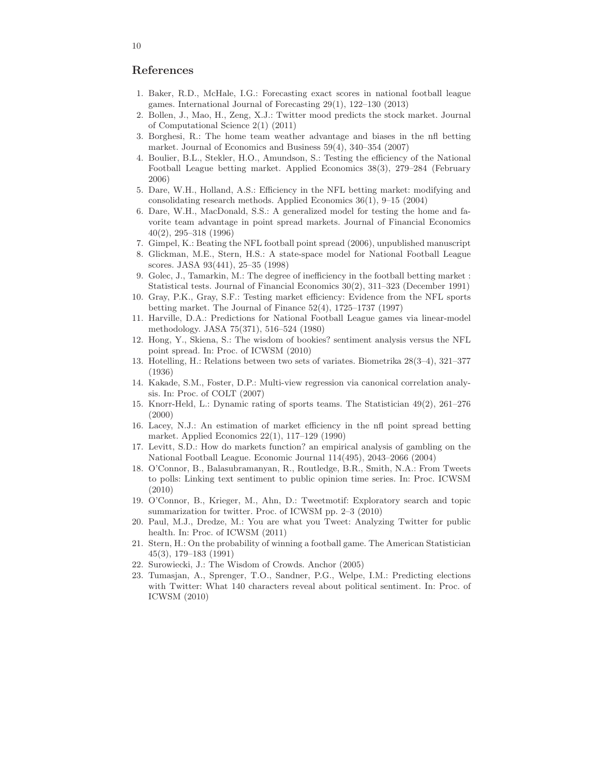# References

- 1. Baker, R.D., McHale, I.G.: Forecasting exact scores in national football league games. International Journal of Forecasting 29(1), 122–130 (2013)
- 2. Bollen, J., Mao, H., Zeng, X.J.: Twitter mood predicts the stock market. Journal of Computational Science 2(1) (2011)
- 3. Borghesi, R.: The home team weather advantage and biases in the nfl betting market. Journal of Economics and Business 59(4), 340–354 (2007)
- 4. Boulier, B.L., Stekler, H.O., Amundson, S.: Testing the efficiency of the National Football League betting market. Applied Economics 38(3), 279–284 (February 2006)
- 5. Dare, W.H., Holland, A.S.: Efficiency in the NFL betting market: modifying and consolidating research methods. Applied Economics 36(1), 9–15 (2004)
- 6. Dare, W.H., MacDonald, S.S.: A generalized model for testing the home and favorite team advantage in point spread markets. Journal of Financial Economics 40(2), 295–318 (1996)
- 7. Gimpel, K.: Beating the NFL football point spread (2006), unpublished manuscript
- 8. Glickman, M.E., Stern, H.S.: A state-space model for National Football League scores. JASA 93(441), 25–35 (1998)
- 9. Golec, J., Tamarkin, M.: The degree of inefficiency in the football betting market : Statistical tests. Journal of Financial Economics 30(2), 311–323 (December 1991)
- 10. Gray, P.K., Gray, S.F.: Testing market efficiency: Evidence from the NFL sports betting market. The Journal of Finance 52(4), 1725–1737 (1997)
- 11. Harville, D.A.: Predictions for National Football League games via linear-model methodology. JASA 75(371), 516–524 (1980)
- 12. Hong, Y., Skiena, S.: The wisdom of bookies? sentiment analysis versus the NFL point spread. In: Proc. of ICWSM (2010)
- 13. Hotelling, H.: Relations between two sets of variates. Biometrika 28(3–4), 321–377 (1936)
- 14. Kakade, S.M., Foster, D.P.: Multi-view regression via canonical correlation analysis. In: Proc. of COLT (2007)
- 15. Knorr-Held, L.: Dynamic rating of sports teams. The Statistician 49(2), 261–276 (2000)
- 16. Lacey, N.J.: An estimation of market efficiency in the nfl point spread betting market. Applied Economics 22(1), 117–129 (1990)
- 17. Levitt, S.D.: How do markets function? an empirical analysis of gambling on the National Football League. Economic Journal 114(495), 2043–2066 (2004)
- 18. O'Connor, B., Balasubramanyan, R., Routledge, B.R., Smith, N.A.: From Tweets to polls: Linking text sentiment to public opinion time series. In: Proc. ICWSM (2010)
- 19. O'Connor, B., Krieger, M., Ahn, D.: Tweetmotif: Exploratory search and topic summarization for twitter. Proc. of ICWSM pp. 2–3 (2010)
- 20. Paul, M.J., Dredze, M.: You are what you Tweet: Analyzing Twitter for public health. In: Proc. of ICWSM (2011)
- 21. Stern, H.: On the probability of winning a football game. The American Statistician 45(3), 179–183 (1991)
- 22. Surowiecki, J.: The Wisdom of Crowds. Anchor (2005)
- 23. Tumasjan, A., Sprenger, T.O., Sandner, P.G., Welpe, I.M.: Predicting elections with Twitter: What 140 characters reveal about political sentiment. In: Proc. of ICWSM (2010)